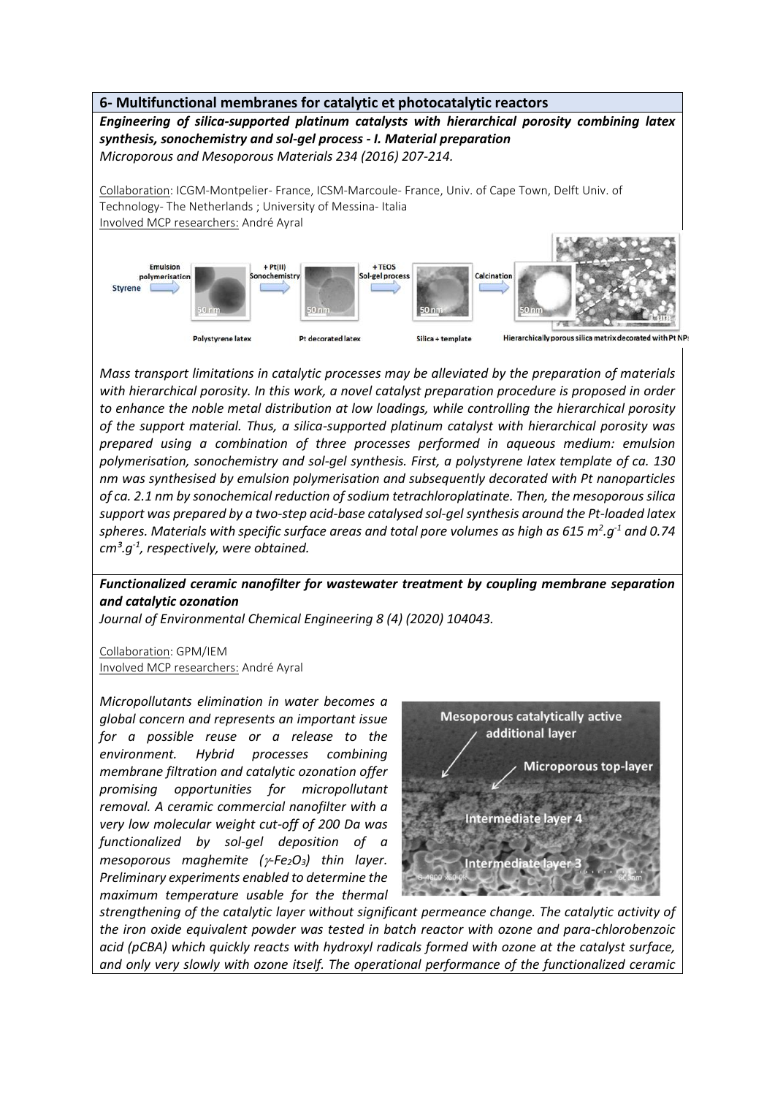

*Mass transport limitations in catalytic processes may be alleviated by the preparation of materials with hierarchical porosity. In this work, a novel catalyst preparation procedure is proposed in order to enhance the noble metal distribution at low loadings, while controlling the hierarchical porosity of the support material. Thus, a silica-supported platinum catalyst with hierarchical porosity was prepared using a combination of three processes performed in aqueous medium: emulsion polymerisation, sonochemistry and sol-gel synthesis. First, a polystyrene latex template of ca. 130 nm was synthesised by emulsion polymerisation and subsequently decorated with Pt nanoparticles of ca. 2.1 nm by sonochemical reduction of sodium tetrachloroplatinate. Then, the mesoporous silica support was prepared by a two-step acid-base catalysed sol-gel synthesis around the Pt-loaded latex spheres. Materials with specific surface areas and total pore volumes as high as 615 m<sup>2</sup> .g-1 and 0.74 cm³.g-1 , respectively, were obtained.*

## *Functionalized ceramic nanofilter for wastewater treatment by coupling membrane separation and catalytic ozonation*

*Journal of Environmental Chemical Engineering 8 (4) (2020) 104043.*

Collaboration: GPM/IEM Involved MCP researchers: André Ayral

*Micropollutants elimination in water becomes a global concern and represents an important issue for a possible reuse or a release to the environment. Hybrid processes combining membrane filtration and catalytic ozonation offer promising opportunities for micropollutant removal. A ceramic commercial nanofilter with a very low molecular weight cut-off of 200 Da was functionalized by sol-gel deposition of a mesoporous maghemite (* $\gamma$ *-Fe*<sub>2</sub>O<sub>3</sub>) thin layer. *Preliminary experiments enabled to determine the maximum temperature usable for the thermal* 



*strengthening of the catalytic layer without significant permeance change. The catalytic activity of the iron oxide equivalent powder was tested in batch reactor with ozone and para-chlorobenzoic acid (pCBA) which quickly reacts with hydroxyl radicals formed with ozone at the catalyst surface, and only very slowly with ozone itself. The operational performance of the functionalized ceramic*